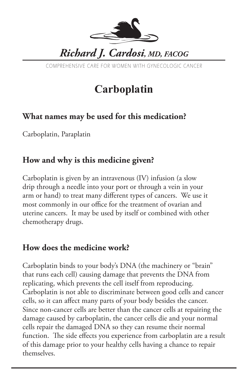

COMPREHENSIVE CARE FOR WOMEN WITH GYNECOLOGIC CANCER

# **Carboplatin**

### **What names may be used for this medication?**

Carboplatin, Paraplatin

### **How and why is this medicine given?**

Carboplatin is given by an intravenous (IV) infusion (a slow drip through a needle into your port or through a vein in your arm or hand) to treat many different types of cancers. We use it most commonly in our office for the treatment of ovarian and uterine cancers. It may be used by itself or combined with other chemotherapy drugs.

## **How does the medicine work?**

Carboplatin binds to your body's DNA (the machinery or "brain" that runs each cell) causing damage that prevents the DNA from replicating, which prevents the cell itself from reproducing. Carboplatin is not able to discriminate between good cells and cancer cells, so it can affect many parts of your body besides the cancer. Since non-cancer cells are better than the cancer cells at repairing the damage caused by carboplatin, the cancer cells die and your normal cells repair the damaged DNA so they can resume their normal function. The side effects you experience from carboplatin are a result of this damage prior to your healthy cells having a chance to repair themselves.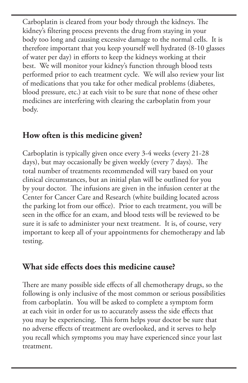Carboplatin is cleared from your body through the kidneys. The kidney's filtering process prevents the drug from staying in your body too long and causing excessive damage to the normal cells. It is therefore important that you keep yourself well hydrated (8-10 glasses of water per day) in efforts to keep the kidneys working at their best. We will monitor your kidney's function through blood tests performed prior to each treatment cycle. We will also review your list of medications that you take for other medical problems (diabetes, blood pressure, etc.) at each visit to be sure that none of these other medicines are interfering with clearing the carboplatin from your body.

#### **How often is this medicine given?**

Carboplatin is typically given once every 3-4 weeks (every 21-28 days), but may occasionally be given weekly (every 7 days). The total number of treatments recommended will vary based on your clinical circumstances, but an initial plan will be outlined for you by your doctor. The infusions are given in the infusion center at the Center for Cancer Care and Research (white building located across the parking lot from our office). Prior to each treatment, you will be seen in the office for an exam, and blood tests will be reviewed to be sure it is safe to administer your next treatment. It is, of course, very important to keep all of your appointments for chemotherapy and lab testing.

#### **What side effects does this medicine cause?**

There are many possible side effects of all chemotherapy drugs, so the following is only inclusive of the most common or serious possibilities from carboplatin. You will be asked to complete a symptom form at each visit in order for us to accurately assess the side effects that you may be experiencing. This form helps your doctor be sure that no adverse effects of treatment are overlooked, and it serves to help you recall which symptoms you may have experienced since your last treatment.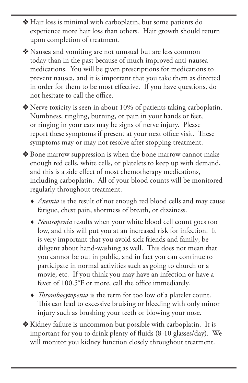v Hair loss is minimal with carboplatin, but some patients do experience more hair loss than others. Hair growth should return upon completion of treatment.

v Nausea and vomiting are not unusual but are less common today than in the past because of much improved anti-nausea medications. You will be given prescriptions for medications to prevent nausea, and it is important that you take them as directed in order for them to be most effective. If you have questions, do not hesitate to call the office.

 $\triangle$  Nerve toxicity is seen in about 10% of patients taking carboplatin. Numbness, tingling, burning, or pain in your hands or feet, or ringing in your ears may be signs of nerve injury. Please report these symptoms if present at your next office visit. These symptoms may or may not resolve after stopping treatment.

- v Bone marrow suppression is when the bone marrow cannot make enough red cells, white cells, or platelets to keep up with demand, and this is a side effect of most chemotherapy medications, including carboplatin. All of your blood counts will be monitored regularly throughout treatment.
	- *Anemia* is the result of not enough red blood cells and may cause fatigue, chest pain, shortness of breath, or dizziness.
	- *Neutropenia* results when your white blood cell count goes too low, and this will put you at an increased risk for infection. It is very important that you avoid sick friends and family; be diligent about hand-washing as well. This does not mean that you cannot be out in public, and in fact you can continue to participate in normal activities such as going to church or a movie, etc. If you think you may have an infection or have a fever of 100.5°F or more, call the office immediately.
	- *Thrombocytopenia* is the term for too low of a platelet count. This can lead to excessive bruising or bleeding with only minor injury such as brushing your teeth or blowing your nose.
- v Kidney failure is uncommon but possible with carboplatin. It is important for you to drink plenty of fluids (8-10 glasses/day). We will monitor you kidney function closely throughout treatment.